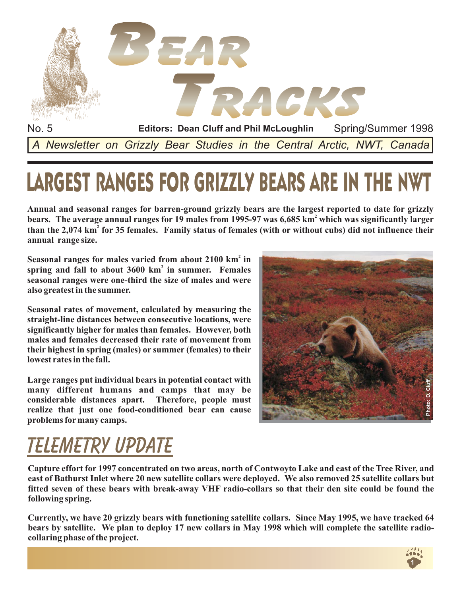

# LARGEST RANGES FOR GRIZZLY BEARS ARE IN THE NWT

**Annual and seasonal ranges for barren-ground grizzly bears are the largest reported to date for grizzly** bears. The average annual ranges for 19 males from 1995-97 was 6,685 km<sup>2</sup> which was significantly larger than the 2,074 km<sup>2</sup> for 35 females. Family status of females (with or without cubs) did not influence their **annual range size.**

Seasonal ranges for males varied from about 2100 km<sup>2</sup> in spring and fall to about 3600 km<sup>2</sup> in summer. Females **seasonal ranges were one-third the size of males and were also greatest in the summer.**

**Seasonal rates of movement, calculated by measuring the straight-line distances between consecutive locations, were significantly higher for males than females. However, both males and females decreased their rate of movement from their highest in spring (males) or summer (females) to their lowest rates in the fall.**

**Large ranges put individual bears in potential contact with many different humans and camps that may be considerable distances apart. Therefore, people must realize that just one food-conditioned bear can cause problems formany camps.**



## **Telemetry UPDATE**

**Capture effort for 1997 concentrated on two areas, north of Contwoyto Lake and east of the Tree River, and east of Bathurst Inlet where 20 new satellite collars were deployed. We also removed 25 satellite collars but fitted seven of these bears with break-away VHF radio-collars so that their den site could be found the following spring.**

**Currently, we have 20 grizzly bears with functioning satellite collars. Since May 1995, we have tracked 64 bears by satellite. We plan to deploy 17 new collars in May 1998 which will complete the satellite radiocollaring phase of the project.**

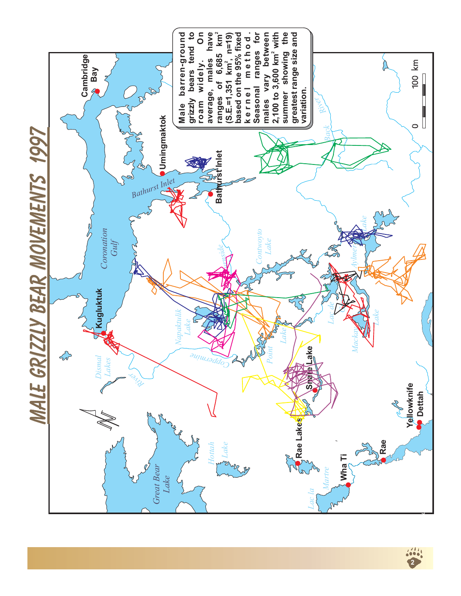

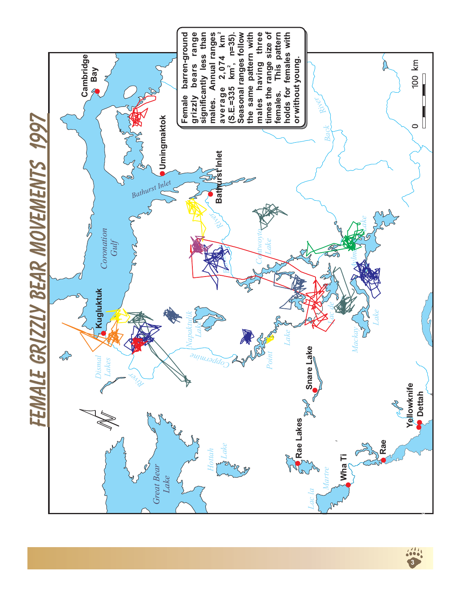

**3**